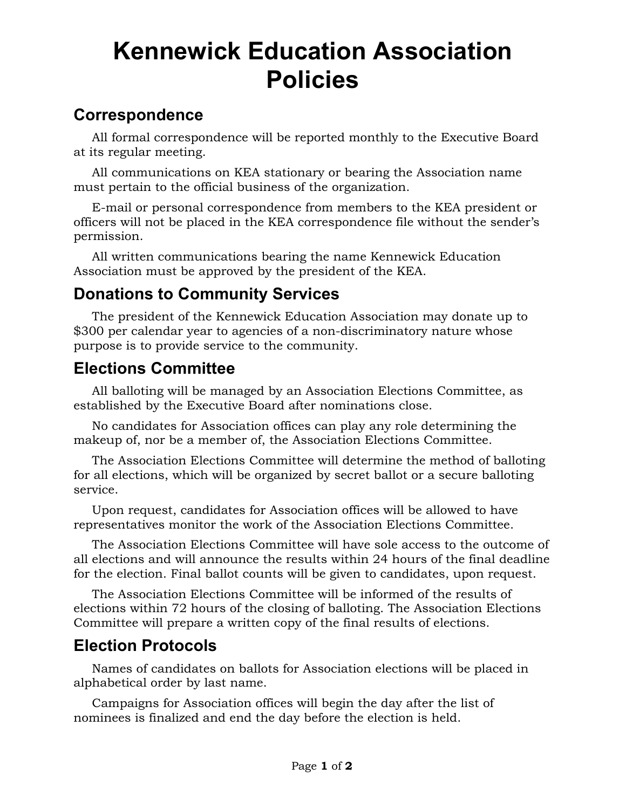# **Kennewick Education Association Policies**

#### **Correspondence**

All formal correspondence will be reported monthly to the Executive Board at its regular meeting.

All communications on KEA stationary or bearing the Association name must pertain to the official business of the organization.

E-mail or personal correspondence from members to the KEA president or officers will not be placed in the KEA correspondence file without the sender's permission.

All written communications bearing the name Kennewick Education Association must be approved by the president of the KEA.

## **Donations to Community Services**

The president of the Kennewick Education Association may donate up to \$300 per calendar year to agencies of a non-discriminatory nature whose purpose is to provide service to the community.

## **Elections Committee**

All balloting will be managed by an Association Elections Committee, as established by the Executive Board after nominations close.

No candidates for Association offices can play any role determining the makeup of, nor be a member of, the Association Elections Committee.

The Association Elections Committee will determine the method of balloting for all elections, which will be organized by secret ballot or a secure balloting service.

Upon request, candidates for Association offices will be allowed to have representatives monitor the work of the Association Elections Committee.

The Association Elections Committee will have sole access to the outcome of all elections and will announce the results within 24 hours of the final deadline for the election. Final ballot counts will be given to candidates, upon request.

The Association Elections Committee will be informed of the results of elections within 72 hours of the closing of balloting. The Association Elections Committee will prepare a written copy of the final results of elections.

# **Election Protocols**

Names of candidates on ballots for Association elections will be placed in alphabetical order by last name.

Campaigns for Association offices will begin the day after the list of nominees is finalized and end the day before the election is held.